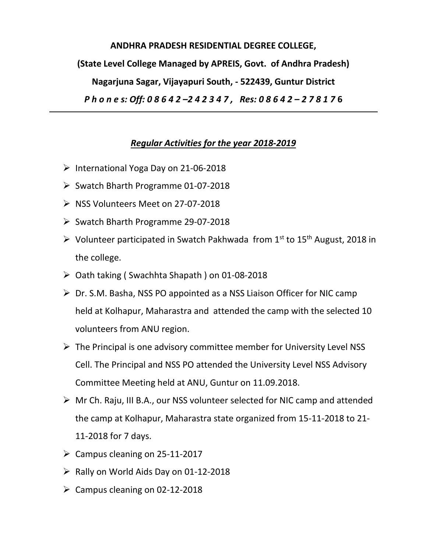**ANDHRA PRADESH RESIDENTIAL DEGREE COLLEGE, (State Level College Managed by APREIS, Govt. of Andhra Pradesh) Nagarjuna Sagar, Vijayapuri South, - 522439, Guntur District** *P h o n e s: Off: 0 8 6 4 2 –2 4 2 3 4 7 , Res: 0 8 6 4 2 – 2 7 8 1 7* **6**

## *Regular Activities for the year 2018-2019*

- ➢ International Yoga Day on 21-06-2018
- ➢ Swatch Bharth Programme 01-07-2018
- ➢ NSS Volunteers Meet on 27-07-2018
- ➢ Swatch Bharth Programme 29-07-2018
- $\triangleright$  Volunteer participated in Swatch Pakhwada from 1<sup>st</sup> to 15<sup>th</sup> August, 2018 in the college.
- ➢ Oath taking ( Swachhta Shapath ) on 01-08-2018
- ➢ Dr. S.M. Basha, NSS PO appointed as a NSS Liaison Officer for NIC camp held at Kolhapur, Maharastra and attended the camp with the selected 10 volunteers from ANU region.
- $\triangleright$  The Principal is one advisory committee member for University Level NSS Cell. The Principal and NSS PO attended the University Level NSS Advisory Committee Meeting held at ANU, Guntur on 11.09.2018.
- ➢ Mr Ch. Raju, III B.A., our NSS volunteer selected for NIC camp and attended the camp at Kolhapur, Maharastra state organized from 15-11-2018 to 21- 11-2018 for 7 days.
- $\geq$  Campus cleaning on 25-11-2017
- $\triangleright$  Rally on World Aids Day on 01-12-2018
- $\geq$  Campus cleaning on 02-12-2018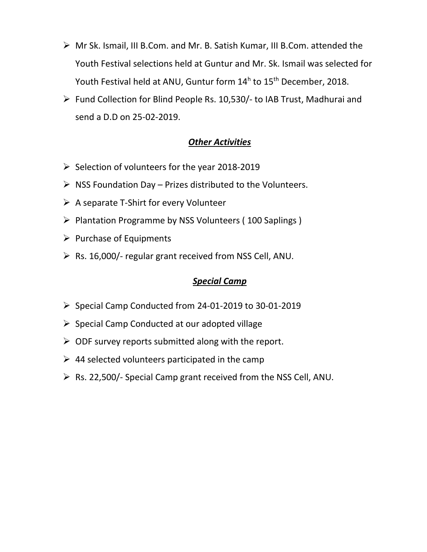- ➢ Mr Sk. Ismail, III B.Com. and Mr. B. Satish Kumar, III B.Com. attended the Youth Festival selections held at Guntur and Mr. Sk. Ismail was selected for Youth Festival held at ANU, Guntur form 14<sup>h</sup> to 15<sup>th</sup> December, 2018.
- ➢ Fund Collection for Blind People Rs. 10,530/- to IAB Trust, Madhurai and send a D.D on 25-02-2019.

## *Other Activities*

- ➢ Selection of volunteers for the year 2018-2019
- $\triangleright$  NSS Foundation Day Prizes distributed to the Volunteers.
- ➢ A separate T-Shirt for every Volunteer
- ➢ Plantation Programme by NSS Volunteers ( 100 Saplings )
- ➢ Purchase of Equipments
- $\triangleright$  Rs. 16,000/- regular grant received from NSS Cell, ANU.

## *Special Camp*

- ➢ Special Camp Conducted from 24-01-2019 to 30-01-2019
- $\triangleright$  Special Camp Conducted at our adopted village
- $\triangleright$  ODF survey reports submitted along with the report.
- $\geq$  44 selected volunteers participated in the camp
- ➢ Rs. 22,500/- Special Camp grant received from the NSS Cell, ANU.